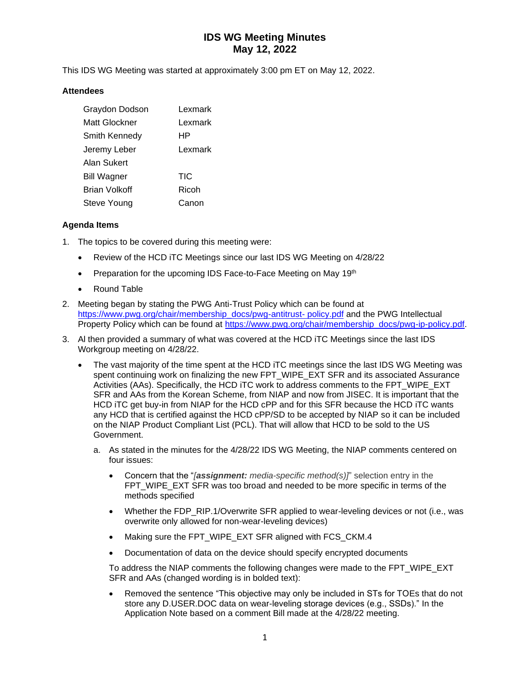This IDS WG Meeting was started at approximately 3:00 pm ET on May 12, 2022.

#### **Attendees**

| Graydon Dodson     | Lexmark |
|--------------------|---------|
| Matt Glockner      | Lexmark |
| Smith Kennedy      | ΗP      |
| Jeremy Leber       | Lexmark |
| Alan Sukert        |         |
| <b>Bill Wagner</b> | TIC     |
| Brian Volkoff      | Ricoh   |
| Steve Young        | Canon   |

#### **Agenda Items**

- 1. The topics to be covered during this meeting were:
	- Review of the HCD iTC Meetings since our last IDS WG Meeting on 4/28/22
	- Preparation for the upcoming IDS Face-to-Face Meeting on May  $19<sup>th</sup>$
	- Round Table
- 2. Meeting began by stating the PWG Anti-Trust Policy which can be found at [https://www.pwg.org/chair/membership\\_docs/pwg-antitrust-](https://www.pwg.org/chair/membership_docs/pwg-antitrust-%20policy.pdf) policy.pdf and the PWG Intellectual Property Policy which can be found at [https://www.pwg.org/chair/membership\\_docs/pwg-ip-policy.pdf.](https://www.pwg.org/chair/membership_docs/pwg-ip-policy.pdf)
- 3. Al then provided a summary of what was covered at the HCD iTC Meetings since the last IDS Workgroup meeting on 4/28/22.
	- The vast majority of the time spent at the HCD iTC meetings since the last IDS WG Meeting was spent continuing work on finalizing the new FPT\_WIPE\_EXT SFR and its associated Assurance Activities (AAs). Specifically, the HCD iTC work to address comments to the FPT\_WIPE\_EXT SFR and AAs from the Korean Scheme, from NIAP and now from JISEC. It is important that the HCD iTC get buy-in from NIAP for the HCD cPP and for this SFR because the HCD iTC wants any HCD that is certified against the HCD cPP/SD to be accepted by NIAP so it can be included on the NIAP Product Compliant List (PCL). That will allow that HCD to be sold to the US Government.
		- a. As stated in the minutes for the 4/28/22 IDS WG Meeting, the NIAP comments centered on four issues:
			- Concern that the "*[assignment: media-specific method(s)]*" selection entry in the FPT\_WIPE\_EXT SFR was too broad and needed to be more specific in terms of the methods specified
			- Whether the FDP\_RIP.1/Overwrite SFR applied to wear-leveling devices or not (i.e., was overwrite only allowed for non-wear-leveling devices)
			- Making sure the FPT\_WIPE\_EXT SFR aligned with FCS\_CKM.4
			- Documentation of data on the device should specify encrypted documents

To address the NIAP comments the following changes were made to the FPT\_WIPE\_EXT SFR and AAs (changed wording is in bolded text):

• Removed the sentence "This objective may only be included in STs for TOEs that do not store any D.USER.DOC data on wear-leveling storage devices (e.g., SSDs)." In the Application Note based on a comment Bill made at the 4/28/22 meeting.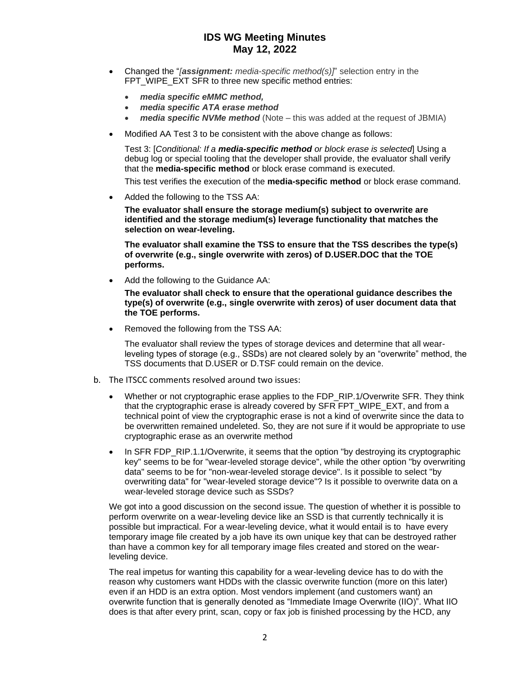- Changed the "*[assignment: media-specific method(s)]*" selection entry in the FPT\_WIPE\_EXT SFR to three new specific method entries:
	- *media specific eMMC method,*
	- *media specific ATA erase method*
	- *media specific NVMe method* (Note this was added at the request of JBMIA)
- Modified AA Test 3 to be consistent with the above change as follows:

Test 3: [*Conditional: If a media-specific method or block erase is selected*] Using a debug log or special tooling that the developer shall provide, the evaluator shall verify that the **media-specific method** or block erase command is executed.

This test verifies the execution of the **media-specific method** or block erase command.

• Added the following to the TSS AA:

**The evaluator shall ensure the storage medium(s) subject to overwrite are identified and the storage medium(s) leverage functionality that matches the selection on wear-leveling.** 

**The evaluator shall examine the TSS to ensure that the TSS describes the type(s) of overwrite (e.g., single overwrite with zeros) of D.USER.DOC that the TOE performs.** 

• Add the following to the Guidance AA:

**The evaluator shall check to ensure that the operational guidance describes the type(s) of overwrite (e.g., single overwrite with zeros) of user document data that the TOE performs.** 

• Removed the following from the TSS AA:

The evaluator shall review the types of storage devices and determine that all wearleveling types of storage (e.g., SSDs) are not cleared solely by an "overwrite" method, the TSS documents that D.USER or D.TSF could remain on the device.

- b. The ITSCC comments resolved around two issues:
	- Whether or not cryptographic erase applies to the FDP\_RIP.1/Overwrite SFR. They think that the cryptographic erase is already covered by SFR FPT\_WIPE\_EXT, and from a technical point of view the cryptographic erase is not a kind of overwrite since the data to be overwritten remained undeleted. So, they are not sure if it would be appropriate to use cryptographic erase as an overwrite method
	- In SFR FDP\_RIP.1.1/Overwrite, it seems that the option "by destroying its cryptographic key" seems to be for "wear-leveled storage device", while the other option "by overwriting data" seems to be for "non-wear-leveled storage device". Is it possible to select "by overwriting data" for "wear-leveled storage device"? Is it possible to overwrite data on a wear-leveled storage device such as SSDs?

We got into a good discussion on the second issue. The question of whether it is possible to perform overwrite on a wear-leveling device like an SSD is that currently technically it is possible but impractical. For a wear-leveling device, what it would entail is to have every temporary image file created by a job have its own unique key that can be destroyed rather than have a common key for all temporary image files created and stored on the wearleveling device.

The real impetus for wanting this capability for a wear-leveling device has to do with the reason why customers want HDDs with the classic overwrite function (more on this later) even if an HDD is an extra option. Most vendors implement (and customers want) an overwrite function that is generally denoted as "Immediate Image Overwrite (IIO)". What IIO does is that after every print, scan, copy or fax job is finished processing by the HCD, any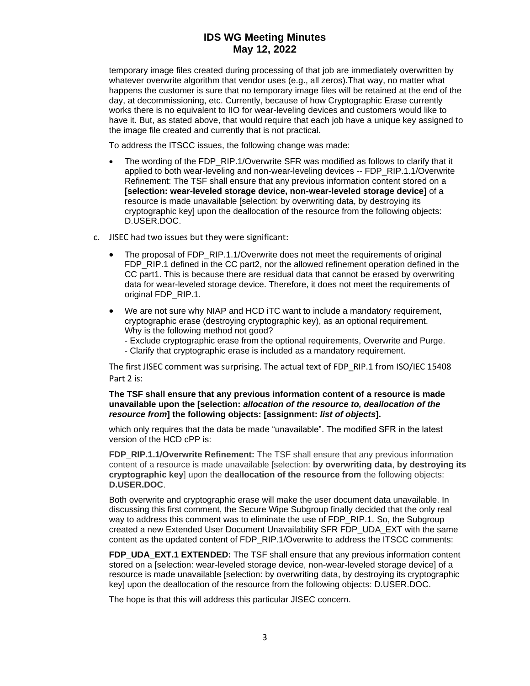temporary image files created during processing of that job are immediately overwritten by whatever overwrite algorithm that vendor uses (e.g., all zeros).That way, no matter what happens the customer is sure that no temporary image files will be retained at the end of the day, at decommissioning, etc. Currently, because of how Cryptographic Erase currently works there is no equivalent to IIO for wear-leveling devices and customers would like to have it. But, as stated above, that would require that each job have a unique key assigned to the image file created and currently that is not practical.

To address the ITSCC issues, the following change was made:

- The wording of the FDP\_RIP.1/Overwrite SFR was modified as follows to clarify that it applied to both wear-leveling and non-wear-leveling devices -- FDP\_RIP.1.1/Overwrite Refinement: The TSF shall ensure that any previous information content stored on a **[selection: wear-leveled storage device, non-wear-leveled storage device]** of a resource is made unavailable [selection: by overwriting data, by destroying its cryptographic key] upon the deallocation of the resource from the following objects: D.USER.DOC.
- c. JISEC had two issues but they were significant:
	- The proposal of FDP\_RIP.1.1/Overwrite does not meet the requirements of original FDP\_RIP.1 defined in the CC part2, nor the allowed refinement operation defined in the CC part1. This is because there are residual data that cannot be erased by overwriting data for wear-leveled storage device. Therefore, it does not meet the requirements of original FDP\_RIP.1.
	- We are not sure why NIAP and HCD iTC want to include a mandatory requirement, cryptographic erase (destroying cryptographic key), as an optional requirement. Why is the following method not good?
		- Exclude cryptographic erase from the optional requirements, Overwrite and Purge.
		- Clarify that cryptographic erase is included as a mandatory requirement.

The first JISEC comment was surprising. The actual text of FDP\_RIP.1 from ISO/IEC 15408 Part 2 is:

**The TSF shall ensure that any previous information content of a resource is made unavailable upon the [selection:** *allocation of the resource to, deallocation of the resource from***] the following objects: [assignment:** *list of objects***].**

which only requires that the data be made "unavailable". The modified SFR in the latest version of the HCD cPP is:

**FDP\_RIP.1.1/Overwrite Refinement:** The TSF shall ensure that any previous information content of a resource is made unavailable [selection: **by overwriting data**, **by destroying its cryptographic key**] upon the **deallocation of the resource from** the following objects: **D.USER.DOC**.

Both overwrite and cryptographic erase will make the user document data unavailable. In discussing this first comment, the Secure Wipe Subgroup finally decided that the only real way to address this comment was to eliminate the use of FDP\_RIP.1. So, the Subgroup created a new Extended User Document Unavailability SFR FDP\_UDA\_EXT with the same content as the updated content of FDP\_RIP.1/Overwrite to address the ITSCC comments:

**FDP\_UDA\_EXT.1 EXTENDED:** The TSF shall ensure that any previous information content stored on a [selection: wear-leveled storage device, non-wear-leveled storage device] of a resource is made unavailable [selection: by overwriting data, by destroying its cryptographic key] upon the deallocation of the resource from the following objects: D.USER.DOC.

The hope is that this will address this particular JISEC concern.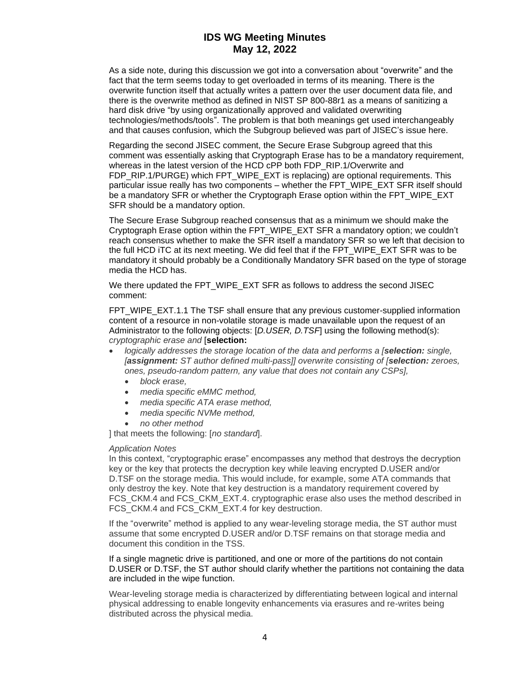As a side note, during this discussion we got into a conversation about "overwrite" and the fact that the term seems today to get overloaded in terms of its meaning. There is the overwrite function itself that actually writes a pattern over the user document data file, and there is the overwrite method as defined in NIST SP 800-88r1 as a means of sanitizing a hard disk drive "by using organizationally approved and validated overwriting technologies/methods/tools". The problem is that both meanings get used interchangeably and that causes confusion, which the Subgroup believed was part of JISEC's issue here.

Regarding the second JISEC comment, the Secure Erase Subgroup agreed that this comment was essentially asking that Cryptograph Erase has to be a mandatory requirement, whereas in the latest version of the HCD cPP both FDP\_RIP.1/Overwrite and FDP\_RIP.1/PURGE) which FPT\_WIPE\_EXT is replacing) are optional requirements. This particular issue really has two components – whether the FPT\_WIPE\_EXT SFR itself should be a mandatory SFR or whether the Cryptograph Erase option within the FPT\_WIPE\_EXT SFR should be a mandatory option.

The Secure Erase Subgroup reached consensus that as a minimum we should make the Cryptograph Erase option within the FPT\_WIPE\_EXT SFR a mandatory option; we couldn't reach consensus whether to make the SFR itself a mandatory SFR so we left that decision to the full HCD iTC at its next meeting. We did feel that if the FPT\_WIPE\_EXT SFR was to be mandatory it should probably be a Conditionally Mandatory SFR based on the type of storage media the HCD has.

We there updated the FPT\_WIPE\_EXT SFR as follows to address the second JISEC comment:

FPT\_WIPE\_EXT.1.1 The TSF shall ensure that any previous customer-supplied information content of a resource in non-volatile storage is made unavailable upon the request of an Administrator to the following objects: [*D.USER, D.TSF*] using the following method(s): *cryptographic erase and* [**selection:**

- *logically addresses the storage location of the data and performs a [selection: single, [assignment: ST author defined multi-pass]] overwrite consisting of [selection: zeroes, ones, pseudo-random pattern, any value that does not contain any CSPs],* 
	- *block erase,*
	- *media specific eMMC method,*
	- *media specific ATA erase method,*
	- *media specific NVMe method,*
	- *no other method*

] that meets the following: [*no standard*].

#### *Application Notes*

In this context, "cryptographic erase" encompasses any method that destroys the decryption key or the key that protects the decryption key while leaving encrypted D.USER and/or D.TSF on the storage media. This would include, for example, some ATA commands that only destroy the key. Note that key destruction is a mandatory requirement covered by FCS CKM.4 and FCS CKM EXT.4. cryptographic erase also uses the method described in FCS\_CKM.4 and FCS\_CKM\_EXT.4 for key destruction.

If the "overwrite" method is applied to any wear-leveling storage media, the ST author must assume that some encrypted D.USER and/or D.TSF remains on that storage media and document this condition in the TSS.

If a single magnetic drive is partitioned, and one or more of the partitions do not contain D.USER or D.TSF, the ST author should clarify whether the partitions not containing the data are included in the wipe function.

Wear-leveling storage media is characterized by differentiating between logical and internal physical addressing to enable longevity enhancements via erasures and re-writes being distributed across the physical media.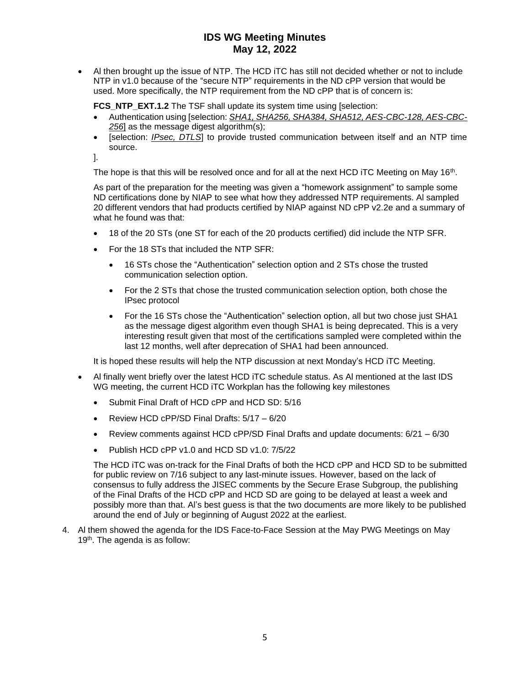• Al then brought up the issue of NTP. The HCD iTC has still not decided whether or not to include NTP in v1.0 because of the "secure NTP" requirements in the ND cPP version that would be used. More specifically, the NTP requirement from the ND cPP that is of concern is:

**FCS NTP EXT.1.2** The TSF shall update its system time using [selection:

- Authentication using [selection: *SHA1, SHA256, SHA384, SHA512, AES-CBC-128, AES-CBC-256*] as the message digest algorithm(s);
- [selection: *IPsec, DTLS*] to provide trusted communication between itself and an NTP time source.

].

The hope is that this will be resolved once and for all at the next HCD iTC Meeting on May 16<sup>th</sup>.

As part of the preparation for the meeting was given a "homework assignment" to sample some ND certifications done by NIAP to see what how they addressed NTP requirements. Al sampled 20 different vendors that had products certified by NIAP against ND cPP v2.2e and a summary of what he found was that:

- 18 of the 20 STs (one ST for each of the 20 products certified) did include the NTP SFR.
- For the 18 STs that included the NTP SFR:
	- 16 STs chose the "Authentication" selection option and 2 STs chose the trusted communication selection option.
	- For the 2 STs that chose the trusted communication selection option, both chose the IPsec protocol
	- For the 16 STs chose the "Authentication" selection option, all but two chose just SHA1 as the message digest algorithm even though SHA1 is being deprecated. This is a very interesting result given that most of the certifications sampled were completed within the last 12 months, well after deprecation of SHA1 had been announced.

It is hoped these results will help the NTP discussion at next Monday's HCD iTC Meeting.

- Al finally went briefly over the latest HCD iTC schedule status. As Al mentioned at the last IDS WG meeting, the current HCD iTC Workplan has the following key milestones
	- Submit Final Draft of HCD cPP and HCD SD: 5/16
	- Review HCD cPP/SD Final Drafts: 5/17 6/20
	- Review comments against HCD cPP/SD Final Drafts and update documents: 6/21 6/30
	- Publish HCD cPP v1.0 and HCD SD v1.0: 7/5/22

The HCD iTC was on-track for the Final Drafts of both the HCD cPP and HCD SD to be submitted for public review on 7/16 subject to any last-minute issues. However, based on the lack of consensus to fully address the JISEC comments by the Secure Erase Subgroup, the publishing of the Final Drafts of the HCD cPP and HCD SD are going to be delayed at least a week and possibly more than that. Al's best guess is that the two documents are more likely to be published around the end of July or beginning of August 2022 at the earliest.

4. Al them showed the agenda for the IDS Face-to-Face Session at the May PWG Meetings on May 19<sup>th</sup>. The agenda is as follow: